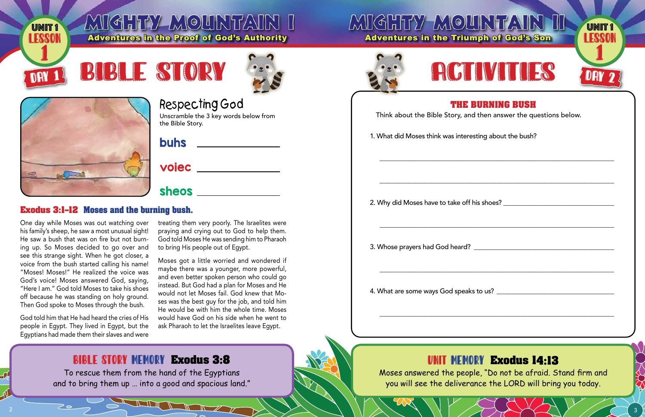

### MIGHTY-MOUNTAIN I Adventures in the Proof of Cod's Authority

## **MIGHTY MOU Adventures in the Triun**









### **Respecting God**

Unscramble the 3 key words below from the Bible Story.

#### **voiec \_\_\_\_\_\_\_\_\_\_\_\_\_\_**

sheos **and the shear of the shear of the state of the state of the state of the state of the state of the state of the state of the state of the state of the state of the state of the state of the state of the state of the** 

#### **Exodus 3:1-12 Moses and the burning bush.**

One day while Moses was out watching over his family's sheep, he saw a most unusual sight! He saw a bush that was on fire but not burning up. So Moses decided to go over and see this strange sight. When he got closer, a voice from the bush started calling his name! "Moses! Moses!" He realized the voice was God's voice! Moses answered God, saying, "Here I am." God told Moses to take his shoes off because he was standing on holy ground. Then God spoke to Moses through the bush.

God told him that He had heard the cries of His people in Egypt. They lived in Egypt, but the Eqyptians had made them their slaves and were

treating them very poorly. The Israelites were praying and crying out to God to help them. God told Moses He was sending him to Pharaoh to bring His people out of Egypt.

Moses got a little worried and wondered if maybe there was a younger, more powerful, and even better spoken person who could go instead. But God had a plan for Moses and He would not let Moses fail. God knew that Moses was the best guy for the job, and told him He would be with him the whole time. Moses would have God on his side when he went to ask Pharaoh to let the Israelites leave Eqypt.

### **BIBLE STORY MEMORY Exodus 3:8**

To rescue them from the hand of the Egyptians and to bring them up ... into a good and spacious land."





#### THE I Think about the Bible Story, and

1. What did Moses think was interes

2. Why did Moses have to take off h

3. Whose prayers had God heard?

4. What are some ways God speaks

Moses answered the people, "Do not be afraid. Stand firm and you will see the deliverance the LORD will bring you today.

| INTAIR<br><b>UNIT1</b><br><b>LESSON</b><br>nph of God's Son |  |
|-------------------------------------------------------------|--|
| IMTILE<br>E<br>DAY 2                                        |  |
| <b>BURNING BUSH</b><br>I then answer the questions below.   |  |
| sting about the bush?                                       |  |
|                                                             |  |
| $\frac{1}{2}$ is shoes?                                     |  |
|                                                             |  |
|                                                             |  |
|                                                             |  |
| NY Eugdus 14.19                                             |  |

#### **UNIT MEMORY Exodus 14:13**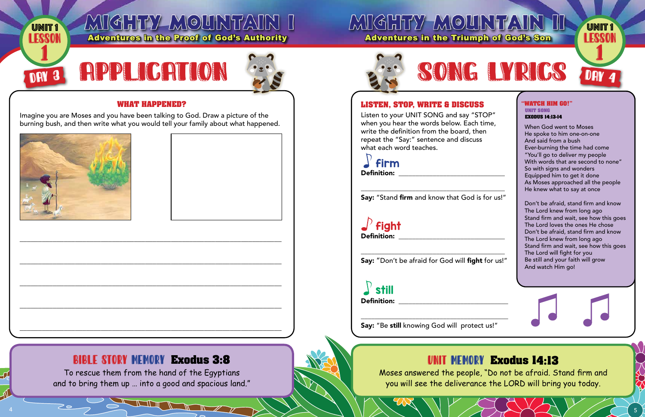

#### **WHAT HAPPENED?**

Imagine you are Moses and you have been talking to God. Draw a picture of the burning bush, and then write what you would tell your family about what happened.



#### **LISTEN. STOP. WRITE & DISCUS**

Listen to your UNIT SONG and say " when you hear the words below. Eacl write the definition from the board, t repeat the "Say:" sentence and discuss what each word teaches.



Say: "Stand firm and know that God is for us!"

 $\int$  **fight**<br>Definition:

Say: "Don't be afraid for God will fight for us!"

still **Definition: Example 1** 

Say: "Be still knowing God will protect us!"

Moses answered the people, "Do not be afraid. Stand firm and you will see the deliverance the LORD will bring you today.

#### **BIBLE STORY MEMORY Exodus 3:8**

To rescue them from the hand of the Egyptians and to bring them up ... into a good and spacious land."

MIGHTY MOUNTAIN II **UNIT1** Adventures in the Triumph of God's Son LESSON



| SS      |  |  |
|---------|--|--|
| STOP"   |  |  |
| h time, |  |  |
| :hen    |  |  |
| 155     |  |  |

#### **WATCH HIM GO!" UNIT SONG EXODUS 14:13-14**

When God went to Moses He spoke to him one-on-one And said from a bush Ever-burning the time had come "You'll go to deliver my people With words that are second to none" So with signs and wonders Equipped him to get it done As Moses approached all the people He knew what to say at once

Don't be afraid, stand firm and know The Lord knew from long ago Stand firm and wait, see how this goes The Lord loves the ones He chose Don't be afraid, stand firm and know The Lord knew from long ago Stand firm and wait, see how this goes The Lord will fight for you Be still and your faith will grow And watch Him go!

**UNIT MEMORY Exodus 14:13**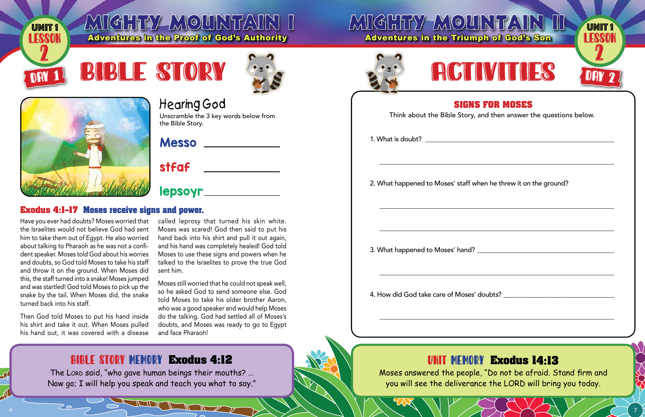

### MIGHTY-MOUNTAIN I Adventures in the Proof of God's Authority

## **MIGHTY MOU Adventures in the Triun**









## **Hearing God**

Unscramble the 3 key words below from the Bible Story.

Messo \_\_\_\_\_\_\_\_\_\_\_\_\_

## stfaf \_\_\_\_\_\_\_\_\_\_\_

# 

#### **Exodus 4:1-17 Moses receive signs and power.**

Have you ever had doubts? Moses worried that the Israelites would not believe God had sent him to take them out of Eqypt. He also worried about talking to Pharaoh as he was not a confident speaker. Moses told God about his worries and doubts, so God told Moses to take his staff and throw it on the ground. When Moses did this, the staff turned into a snake! Moses jumped and was startled! God told Moses to pick up the snake by the tail. When Moses did, the snake turned back into his staff.

Then God told Moses to put his hand inside his shirt and take it out. When Moses pulled his hand out, it was covered with a disease called leprosy that turned his skin white. Moses was scared! God then said to put his hand back into his shirt and pull it out again, and his hand was completely healed! God told Moses to use these signs and powers when he talked to the Israelites to prove the true God sent him.

Moses still worried that he could not speak well, so he asked God to send someone else. God told Moses to take his older brother Aaron. who was a good speaker and would help Moses do the talking. God had settled all of Moses's doubts, and Moses was ready to go to Egypt and face Pharaoh!

### **BIBLE STORY MEMORY Exodus 4:12**

The LORD said, "who gave human beings their mouths? ... Now go; I will help you speak and teach you what to say."



SIGN Think about the Bible Story,

1. What is doubt?

2. What happened to Moses' staff w

3. What happened to Moses' hand?

4. How did God take care of Moses'

#### UNIT MEMO

Moses answered the peop you will see the delivera

| JNTAI<br><b>UNIT1</b><br><b>ENNON</b><br>aph of God's Son                                      |  |
|------------------------------------------------------------------------------------------------|--|
| <b>IVITIE</b><br>J<br>DAY 2                                                                    |  |
| <b>S FOR MOSES</b><br>, and then answer the questions below.                                   |  |
|                                                                                                |  |
| vhen he threw it on the ground?                                                                |  |
|                                                                                                |  |
|                                                                                                |  |
| ' doubts?                                                                                      |  |
|                                                                                                |  |
| RY Exodus 14:13<br>le, "Do not be afraid. Stand firm and<br>nce the LORD will bring you today. |  |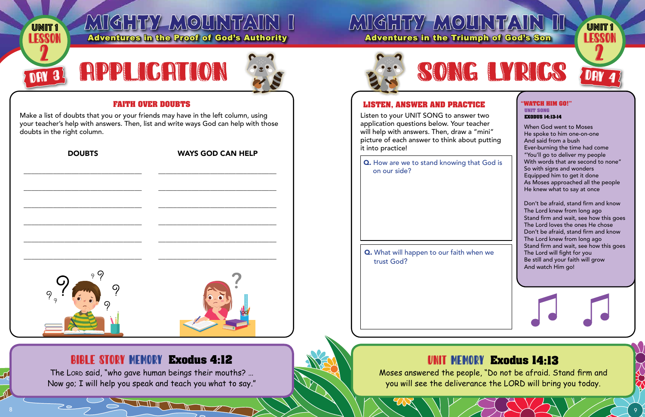| <b>UNIT1</b>                                 | MIGHTY MOUNTAIN I<br><b>Adventures in the Proof of God's Authority</b>                                                                                                   | MIGHTY-MOU<br><b>Adventures in the Triun</b>                                                                                                                                    |
|----------------------------------------------|--------------------------------------------------------------------------------------------------------------------------------------------------------------------------|---------------------------------------------------------------------------------------------------------------------------------------------------------------------------------|
|                                              | RPPLICATION                                                                                                                                                              |                                                                                                                                                                                 |
|                                              | <b>FAITH OVER DOUBTS</b>                                                                                                                                                 | <b>LISTEN, ANSWER AND PRACT!</b>                                                                                                                                                |
| doubts in the right column.<br><b>DOUBTS</b> | Make a list of doubts that you or your friends may have in the left column, using<br>your teacher's help with answers. Then, list and write ways God can help with those | Listen to your UNIT SONG to answe<br>application questions below. Your tea<br>will help with answers. Then, draw a<br>picture of each answer to think abou<br>it into practice! |
|                                              | <b>WAYS GOD CAN HELP</b>                                                                                                                                                 | Q. How are we to stand knowing th<br>on our side?                                                                                                                               |
| 9 Q                                          |                                                                                                                                                                          | <b>Q.</b> What will happen to our faith wh<br>trust God?                                                                                                                        |
|                                              | <b>BIBLE STORY MEMORY Exodus 4:12</b><br>The LORD said, "who gave human beings their mouths?<br>Now go; I will help you speak and teach you what to say."                | Moses answered the peop<br>you will see the delivera                                                                                                                            |

 $\smash{\nearrow}$   $\smash{\circ}$ 



acher:  $"min"$ ut putting

at God is

hen we

# **EXODUS 14:13-14**

When God went to Moses He spoke to him one-on-one And said from a bush Ever-burning the time had come "You'll go to deliver my people With words that are second to none" So with signs and wonders Equipped him to get it done As Moses approached all the people He knew what to say at once

Don't be afraid, stand firm and know The Lord knew from long ago Stand firm and wait, see how this goes The Lord loves the ones He chose Don't be afraid, stand firm and know The Lord knew from long ago Stand firm and wait, see how this goes The Lord will fight for you Be still and your faith will grow And watch Him go!

#### **Exodus 14:13** RY

le, "Do not be afraid. Stand firm and ance the LORD will bring you today.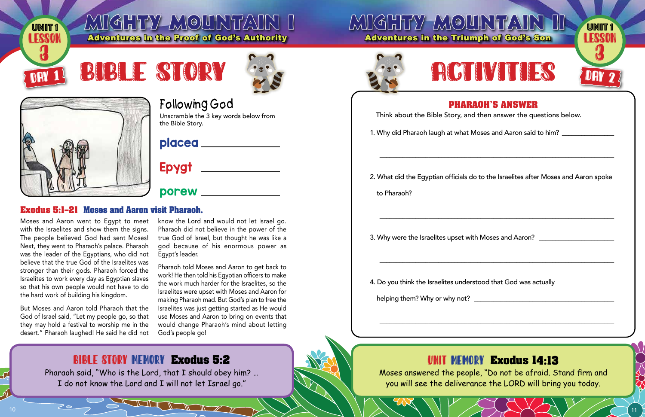

### MIGHTY-MOUNTAIN I Adventures in the Proof of God's Authority

## **MIGHTY MOU Adventures in the Triun**



## **Following God**

Unscramble the 3 key words below from the Bible Story.

### placea \_\_\_\_\_\_\_\_\_\_\_\_\_

# Epygt \_\_\_\_\_\_\_\_\_\_\_\_\_

#### **Exodus 5:1-21 Moses and Aaron visit Pharaoh.**

Moses and Aaron went to Egypt to meet with the Israelites and show them the signs. The people believed God had sent Moses! Next, they went to Pharaoh's palace. Pharaoh was the leader of the Egyptians, who did not believe that the true God of the Israelites was stronger than their gods. Pharaoh forced the Israelites to work every day as Eqyptian slaves so that his own people would not have to do the hard work of building his kingdom.

But Moses and Aaron told Pharaoh that the God of Israel said, "Let my people go, so that they may hold a festival to worship me in the desert." Pharaoh laughed! He said he did not know the Lord and would not let Israel go. Pharaoh did not believe in the power of the true God of Israel, but thought he was like a god because of his enormous power as Egypt's leader.

Pharaoh told Moses and Aaron to get back to work! He then told his Eqyptian officers to make the work much harder for the Israelites, so the Israelites were upset with Moses and Aaron for making Pharaoh mad. But God's plan to free the Israelites was just getting started as He would use Moses and Aaron to bring on events that would change Pharaoh's mind about letting God's people go!

### **BIBLE STORY MEMORY Exodus 5:2**

Pharaoh said, "Who is the Lord, that I should obey him? ... I do not know the Lord and I will not let Israel go."





#### **PHAR** Think about the Bible Story, and

1. Why did Pharaoh laugh at what M

2. What did the Egyptian officials do

3. Why were the Israelites upset witl

4. Do you think the Israelites unders

helping them? Why or why not?

#### UNIT MEMO

Moses answered the peop you will see the delivera

| JHTAIR<br><b>UNIT1</b><br><b>ESSON</b><br>aph of God's Son<br>Communication of<br>MITHE<br>E<br>DAY 2                   |
|-------------------------------------------------------------------------------------------------------------------------|
| <b>AOH'S ANSWER</b><br>I then answer the questions below.<br>$\Lambda$ oses and Aaron said to him? $\rule{1em}{0.15mm}$ |
| o to the Israelites after Moses and Aaron spoke                                                                         |
| h Moses and Aaron?                                                                                                      |
| stood that God was actually                                                                                             |
|                                                                                                                         |
| RY Exodus 14:13<br>le, "Do not be afraid. Stand firm and<br>nce the LORD will bring you today.                          |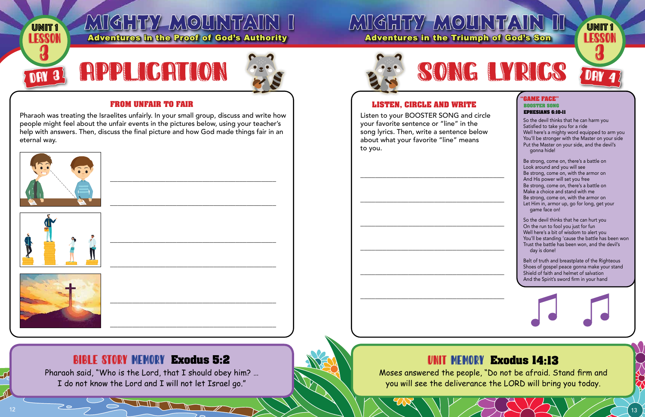

#### **FROM UNFAIR TO FAIR**

Pharaoh was treating the Israelites unfairly. In your small group, discuss and write how people might feel about the unfair events in the pictures below, using your teacher's help with answers. Then, discuss the final picture and how God made things fair in an eternal wav.







#### **BIBLE STORY MEMORY Exodus 5:2**

Pharaoh said, "Who is the Lord, that I should obey him? ... I do not know the Lord and I will not let Israel go."



#### **LISTEN. CIRCLE AND WRITE**

Listen to your BOOSTER SONG and circle your favorite sentence or "line" in the song lyrics. Then, write a sentence below about what your favorite "line" means to you.

Moses answered the people, "Do not be afraid. Stand firm and you will see the deliverance the LORD will bring you today.

# SONG LYRICS

#### *'GAME FACE"* **BOOSTER SONG EPHESIANS 6:10-11**

So the devil thinks that he can harm you Satisfied to take you for a ride Well here's a mighty word equipped to arm you You'll be stronger with the Master on your side Put the Master on your side, and the devil's gonna hide!

**UNIT1** 

LESSON

Be strong, come on, there's a battle on Look around and you will see Be strong, come on, with the armor on And His power will set you free Be strong, come on, there's a battle on Make a choice and stand with me Be strong, come on, with the armor on Let Him in, armor up, go for long, get your game face on!

So the devil thinks that he can hurt you On the run to fool you just for fun Well here's a bit of wisdom to alert you You'll be standing 'cause the battle has been won Trust the battle has been won, and the devil's day is done!

Belt of truth and breastplate of the Righteous Shoes of gospel peace gonna make your stand Shield of faith and helmet of salvation And the Spirit's sword firm in your hand

#### **UNIT MEMORY Exodus 14:13**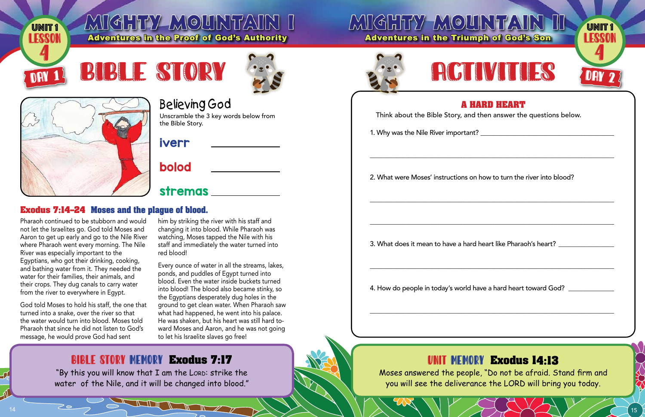

### MIGHTY-MOUNTAIN I Adventures in the Proof of God's Authority

## **MIGHTY MOU Adventures in the Triun**







## **Believing God**

Unscramble the 3 key words below from the Bible Story.

### **iverr**

## bolod

## stremas \_\_\_\_\_\_\_\_\_

#### **Exodus 7:14-24 Moses and the plague of blood.**

Pharaoh continued to be stubborn and would not let the Israelites go. God told Moses and Aaron to get up early and go to the Nile River where Pharaoh went every morning. The Nile River was especially important to the Egyptians, who got their drinking, cooking, and bathing water from it. They needed the water for their families, their animals, and their crops. They dug canals to carry water from the river to everywhere in Eqypt.

God told Moses to hold his staff, the one that turned into a snake, over the river so that the water would turn into blood. Moses told Pharaoh that since he did not listen to God's message, he would prove God had sent

him by striking the river with his staff and changing it into blood. While Pharaoh was watching, Moses tapped the Nile with his staff and immediately the water turned into red blood!

Every ounce of water in all the streams, lakes, ponds, and puddles of Egypt turned into blood. Even the water inside buckets turned into blood! The blood also became stinky, so the Egyptians desperately dug holes in the ground to get clean water. When Pharaoh saw what had happened, he went into his palace. He was shaken, but his heart was still hard toward Moses and Aaron, and he was not going to let his Israelite slaves go free!

### **BIBLE STORY MEMORY Exodus 7:17**

"By this you will know that I am the LORD: strike the water of the Nile, and it will be changed into blood."

**THE REAL PROPERTY** 





#### A H Think about the Bible Story, and

1. Why was the Nile River important

2. What were Moses' instructions or

3. What does it mean to have a hard

4. How do people in today's world h

#### UNIT MEMO

Moses answered the peop you will see the delivera

| JNTAIR<br>UNIT 1<br>ESSSON<br>aph of God's Son                                                         |
|--------------------------------------------------------------------------------------------------------|
| <b>ALLESSAN</b><br>VIII<br>Ě<br>DAY 2                                                                  |
| <b>IARD HEART</b><br>I then answer the questions below.<br>t?                                          |
| n how to turn the river into blood?                                                                    |
| d heart like Pharaoh's heart?                                                                          |
| nave a hard heart toward God? $\rule{1em}{0.15mm}$ $\,$                                                |
|                                                                                                        |
| R <b>y Exodus 14:13</b><br>le, "Do not be afraid. Stand firm and<br>nce the LORD will bring you today. |
| AVA                                                                                                    |